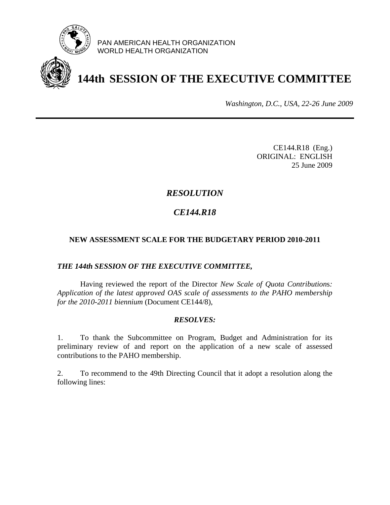

PAN AMERICAN HEALTH ORGANIZATION WORLD HEALTH ORGANIZATION



# **144th SESSION OF THE EXECUTIVE COMMITTEE**

*Washington, D.C., USA, 22-26 June 2009*

CE144.R18 (Eng.) ORIGINAL: ENGLISH 25 June 2009

# *RESOLUTION*

# *CE144.R18*

## **NEW ASSESSMENT SCALE FOR THE BUDGETARY PERIOD 2010-2011**

## *THE 144th SESSION OF THE EXECUTIVE COMMITTEE,*

 Having reviewed the report of the Director *New Scale of Quota Contribution*s*: Application of the latest approved OAS scale of assessments to the PAHO membership for the 2010-2011 biennium* (Document CE144/8),

## *RESOLVES:*

1. To thank the Subcommittee on Program, Budget and Administration for its preliminary review of and report on the application of a new scale of assessed contributions to the PAHO membership.

2. To recommend to the 49th Directing Council that it adopt a resolution along the following lines: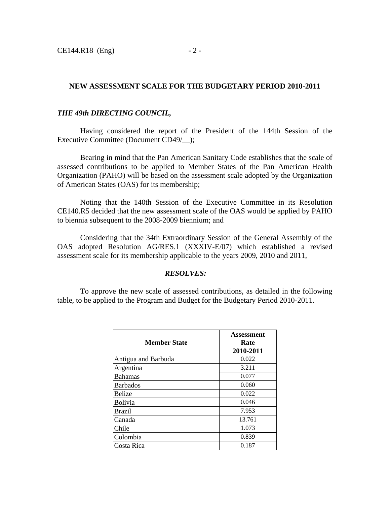#### **NEW ASSESSMENT SCALE FOR THE BUDGETARY PERIOD 2010-2011**

#### *THE 49th DIRECTING COUNCIL,*

 Having considered the report of the President of the 144th Session of the Executive Committee (Document CD49/\_);

Bearing in mind that the Pan American Sanitary Code establishes that the scale of assessed contributions to be applied to Member States of the Pan American Health Organization (PAHO) will be based on the assessment scale adopted by the Organization of American States (OAS) for its membership;

 Noting that the 140th Session of the Executive Committee in its Resolution CE140.R5 decided that the new assessment scale of the OAS would be applied by PAHO to biennia subsequent to the 2008-2009 biennium; and

 Considering that the 34th Extraordinary Session of the General Assembly of the OAS adopted Resolution AG/RES.1 (XXXIV-E/07) which established a revised assessment scale for its membership applicable to the years 2009, 2010 and 2011,

#### *RESOLVES:*

 To approve the new scale of assessed contributions, as detailed in the following table, to be applied to the Program and Budget for the Budgetary Period 2010-2011.

| <b>Member State</b> | Assessment<br>Rate<br>2010-2011 |
|---------------------|---------------------------------|
| Antigua and Barbuda | 0.022                           |
| Argentina           | 3.211                           |
| <b>Bahamas</b>      | 0.077                           |
| <b>Barbados</b>     | 0.060                           |
| Belize              | 0.022                           |
| <b>Bolivia</b>      | 0.046                           |
| Brazil              | 7.953                           |
| Canada              | 13.761                          |
| Chile               | 1.073                           |
| Colombia            | 0.839                           |
| Costa Rica          | 0.187                           |